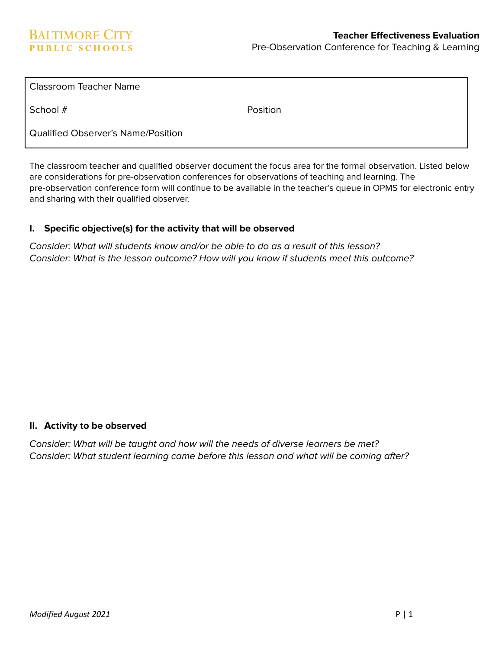School # Position

Qualified Observer's Name/Position

The classroom teacher and qualified observer document the focus area for the formal observation. Listed below are considerations for pre-observation conferences for observations of teaching and learning. The pre-observation conference form will continue to be available in the teacher's queue in OPMS for electronic entry and sharing with their qualified observer.

## **I. Specific objective(s) for the activity that will be observed**

Consider: What will students know and/or be able to do as a result of this lesson? Consider: What is the lesson outcome? How will you know if students meet this outcome?

## **II. Activity to be observed**

Consider: What will be taught and how will the needs of diverse learners be met? Consider: What student learning came before this lesson and what will be coming after?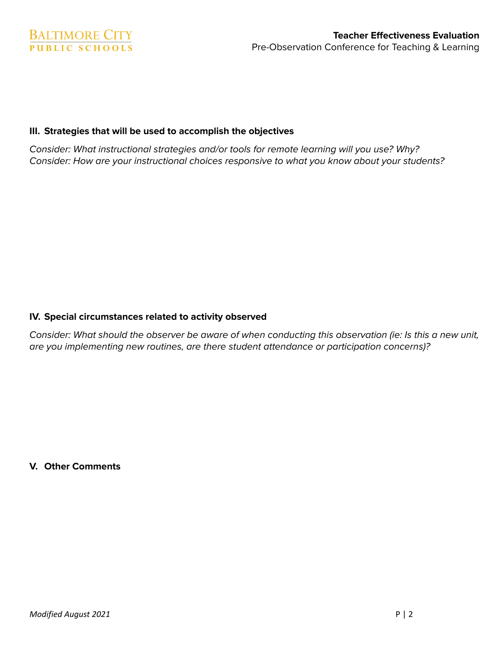## **III. Strategies that will be used to accomplish the objectives**

Consider: What instructional strategies and/or tools for remote learning will you use? Why? Consider: How are your instructional choices responsive to what you know about your students?

## **IV. Special circumstances related to activity observed**

Consider: What should the observer be aware of when conducting this observation (ie: Is this a new unit, are you implementing new routines, are there student attendance or participation concerns)?

**V. Other Comments**